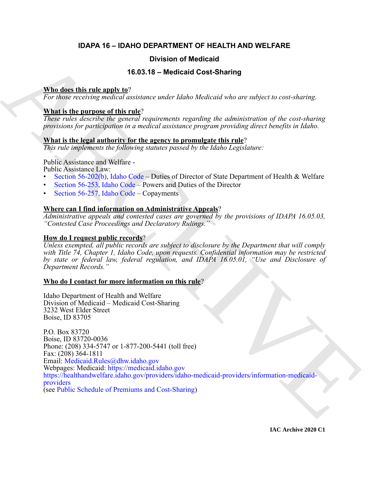# **IDAPA 16 – IDAHO DEPARTMENT OF HEALTH AND WELFARE**

# **Division of Medicaid**

# **16.03.18 – Medicaid Cost-Sharing**

# **Who does this rule apply to**?

*For those receiving medical assistance under Idaho Medicaid who are subject to cost-sharing.*

# **What is the purpose of this rule**?

*These rules describe the general requirements regarding the administration of the cost-sharing provisions for participation in a medical assistance program providing direct benefits in Idaho.*

# **What is the legal authority for the agency to promulgate this rule**?

*This rule implements the following statutes passed by the Idaho Legislature:*

Public Assistance and Welfare -

Public Assistance Law:

- Section 56-202(b), Idaho Code Duties of Director of State Department of Health & Welfare
- Section 56-253, Idaho Code Powers and Duties of the Director
- Section 56-257, Idaho Code Copayments

# **Where can I find information on Administrative Appeals**?

*Administrative appeals and contested cases are governed by the provisions of IDAPA 16.05.03, "Contested Case Proceedings and Declaratory Rulings."*

# **How do I request public records**?

*Unless exempted, all public records are subject to disclosure by the Department that will comply with Title 74, Chapter 1, Idaho Code, upon requests. Confidential information may be restricted by state or federal law, federal regulation, and IDAPA 16.05.01, "Use and Disclosure of Department Records."*

# **Who do I contact for more information on this rule**?

Idaho Department of Health and Welfare Division of Medicaid – Medicaid Cost-Sharing 3232 West Elder Street Boise, ID 83705

**Division of Medicaid**<br> **16.03 is a model to the state of the state of the state of the state of the state of the state of the state of the state of the state of the state of the state of the state of the state of the sta** P.O. Box 83720 Boise, ID 83720-0036 Phone: (208) 334-5747 or 1-877-200-5441 (toll free) Fax: (208) 364-1811 Email: Medicaid.Rules@dhw.idaho.gov Webpages: Medicaid: https://medicaid.idaho.gov https://healthandwelfare.idaho.gov/providers/idaho-medicaid-providers/information-medicaidproviders (see Public Schedule of Premiums and Cost-Sharing)

**IAC Archive 2020 C1**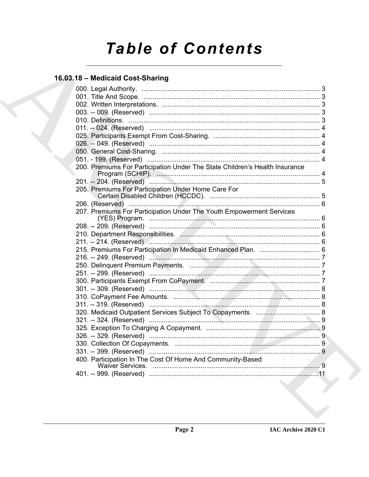# **Table of Contents**

# 16.03.18 - Medicaid Cost-Sharing

| 200. Premiums For Participation Under The State Children's Health Insurance |  |
|-----------------------------------------------------------------------------|--|
|                                                                             |  |
| 205. Premiums For Participation Under Home Care For                         |  |
|                                                                             |  |
| 207. Premiums For Participation Under The Youth Empowerment Services        |  |
|                                                                             |  |
|                                                                             |  |
|                                                                             |  |
|                                                                             |  |
| 215. Premiums For Participation In Medicaid Enhanced Plan.  6               |  |
|                                                                             |  |
|                                                                             |  |
|                                                                             |  |
|                                                                             |  |
|                                                                             |  |
|                                                                             |  |
|                                                                             |  |
|                                                                             |  |
|                                                                             |  |
|                                                                             |  |
|                                                                             |  |
|                                                                             |  |
| 400. Participation In The Cost Of Home And Community-Based                  |  |
|                                                                             |  |
|                                                                             |  |
|                                                                             |  |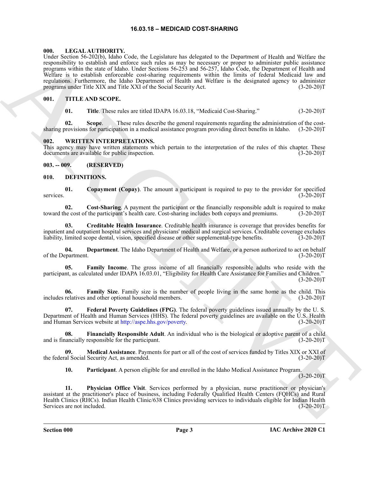#### **16.03.18 – MEDICAID COST-SHARING**

#### <span id="page-2-18"></span><span id="page-2-1"></span><span id="page-2-0"></span>**000. LEGAL AUTHORITY.**

Using Scholars Section 14.1 and the relations has belowed to actual and the internal of the first state of the state of the state of the state of the state of the state of the state of the state of the state of the state Under Section 56-202(b), Idaho Code, the Legislature has delegated to the Department of Health and Welfare the responsibility to establish and enforce such rules as may be necessary or proper to administer public assistance programs within the state of Idaho. Under Sections 56-253 and 56-257, Idaho Code, the Department of Health and Welfare is to establish enforceable cost-sharing requirements within the limits of federal Medicaid law and regulations. Furthermore, the Idaho Department of Health and Welfare is the designated agency to administer programs under Title XIX and Title XXI of the Social Security Act. (3-20-20)T

#### <span id="page-2-2"></span>**001. TITLE AND SCOPE.**

<span id="page-2-19"></span>**01.** Title. These rules are titled IDAPA 16.03.18, "Medicaid Cost-Sharing." (3-20-20)T

**02. Scope**. These rules describe the general requirements regarding the administration of the costsharing provisions for participation in a medical assistance program providing direct benefits in Idaho. (3-20-20)T

#### <span id="page-2-20"></span><span id="page-2-3"></span>**002. WRITTEN INTERPRETATIONS.**

This agency may have written statements which pertain to the interpretation of the rules of this chapter. These documents are available for public inspection. (3-20-20)T

#### <span id="page-2-4"></span>**003. -- 009. (RESERVED)**

#### <span id="page-2-6"></span><span id="page-2-5"></span>**010. DEFINITIONS.**

<span id="page-2-7"></span>**01.** Copayment (Copay). The amount a participant is required to pay to the provider for specified (3-20-20) services. (3-20-20)T

<span id="page-2-8"></span>**02.** Cost-Sharing. A payment the participant or the financially responsible adult is required to make ne cost of the participant's health care. Cost-sharing includes both copays and premiums. (3-20-20)T toward the cost of the participant's health care. Cost-sharing includes both copays and premiums.

<span id="page-2-9"></span>**03. Creditable Health Insurance**. Creditable health insurance is coverage that provides benefits for inpatient and outpatient hospital services and physicians' medical and surgical services. Creditable coverage excludes liability, limited scope dental, vision, specified disease or other supplemental-type benefits. (3-20-2 liability, limited scope dental, vision, specified disease or other supplemental-type benefits.

<span id="page-2-10"></span>**04. Department**. The Idaho Department of Health and Welfare, or a person authorized to act on behalf of the Department. (3-20-20)T

<span id="page-2-11"></span>**05. Family Income**. The gross income of all financially responsible adults who reside with the participant, as calculated under IDAPA 16.03.01, "Eligibility for Health Care Assistance for Families and Children."  $(3-20-20)T$ 

<span id="page-2-12"></span>**06. Family Size**. Family size is the number of people living in the same home as the child. This includes relatives and other optional household members. (3-20-20)T

<span id="page-2-13"></span>**07. Federal Poverty Guidelines (FPG)**. The federal poverty guidelines issued annually by the U. S. Department of Health and Human Services (HHS). The federal poverty guidelines are available on the U.S. Health and Human Services website at http://aspe.hhs.gov/poverty. (3-20-20)T

<span id="page-2-14"></span>**08. Financially Responsible Adult**. An individual who is the biological or adoptive parent of a child and is financially responsible for the participant. (3-20-20)T

**09. Medical Assistance**. Payments for part or all of the cost of services funded by Titles XIX or XXI of al Social Security Act, as amended. (3-20-20) the federal Social Security Act, as amended.

<span id="page-2-17"></span><span id="page-2-16"></span><span id="page-2-15"></span>**10. Participant**. A person eligible for and enrolled in the Idaho Medical Assistance Program.  $(3-20-20)T$ 

**11. Physician Office Visit**. Services performed by a physician, nurse practitioner or physician's assistant at the practitioner's place of business, including Federally Qualified Health Centers (FQHCs) and Rural Health Clinics (RHCs). Indian Health Clinic/638 Clinics providing services to individuals eligible for Indian Health Services are not included. (3-20-20)T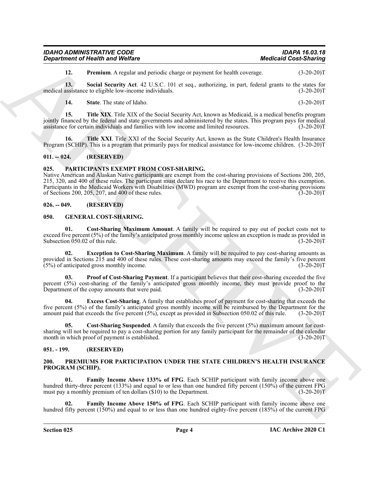| <b>IDAHO ADMINISTRATIVE CODE</b>        | <b>IDAPA 16.03.18</b>        |
|-----------------------------------------|------------------------------|
| <b>Department of Health and Welfare</b> | <b>Medicaid Cost-Sharing</b> |

<span id="page-3-7"></span><span id="page-3-6"></span>**12. Premium**. A regular and periodic charge or payment for health coverage.  $(3-20-20)T$ 

**13. Social Security Act**. 42 U.S.C. 101 et seq., authorizing, in part, federal grants to the states for medical assistance to eligible low-income individuals.

<span id="page-3-10"></span><span id="page-3-9"></span><span id="page-3-8"></span>**14.** State. The state of Idaho. (3-20-20)T

**15. Title XIX**. Title XIX of the Social Security Act, known as Medicaid, is a medical benefits program jointly financed by the federal and state governments and administered by the states. This program pays for medical assistance for certain individuals and families with low income and limited resources. (3-20-20)T

**16. Title XXI**. Title XXI of the Social Security Act, known as the State Children's Health Insurance Program (SCHIP). This is a program that primarily pays for medical assistance for low-income children. (3-20-20)T

#### <span id="page-3-0"></span>**011. -- 024. (RESERVED)**

#### <span id="page-3-17"></span><span id="page-3-1"></span>**025. PARTICIPANTS EXEMPT FROM COST-SHARING.**

**Department of Nearly was Wedler<br>
12.** Presidinary Architects the space of the space of the space of the space of the space of the space of the space of the space of the space of the space of the space of the space of the Native American and Alaskan Native participants are exempt from the cost-sharing provisions of Sections 200, 205, 215, 320, and 400 of these rules. The participant must declare his race to the Department to receive this exemption. Participants in the Medicaid Workers with Disabilities (MWD) program are exempt from the cost-sharing provisions of Sections 200, 205, 207, and 400 of these rules. (3-20-20)T

#### <span id="page-3-2"></span>**026. -- 049. (RESERVED)**

#### <span id="page-3-11"></span><span id="page-3-3"></span>**050. GENERAL COST-SHARING.**

<span id="page-3-12"></span>**01. Cost-Sharing Maximum Amount**. A family will be required to pay out of pocket costs not to exceed five percent (5%) of the family's anticipated gross monthly income unless an exception is made as provided in Subsection 050.02 of this rule. (3-20-20)T

<span id="page-3-14"></span>**02. Exception to Cost-Sharing Maximum**. A family will be required to pay cost-sharing amounts as provided in Sections 215 and 400 of these rules. These cost-sharing amounts may exceed the family's five percent (5%) of anticipated gross monthly income. (3-20-20)T

<span id="page-3-16"></span>**03. Proof of Cost-Sharing Payment**. If a participant believes that their cost-sharing exceeded the five percent (5%) cost-sharing of the family's anticipated gross monthly income, they must provide proof to the Department of the copay amounts that were paid. (3-20-20)T

<span id="page-3-15"></span>**04. Excess Cost-Sharing**. A family that establishes proof of payment for cost-sharing that exceeds the five percent (5%) of the family's anticipated gross monthly income will be reimbursed by the Department for the amount paid that exceeds the five percent (5%), except as provided in Subsection 050.02 of this rule. (3-20-20)T

<span id="page-3-13"></span>**Cost-Sharing Suspended**. A family that exceeds the five percent (5%) maximum amount for costsharing will not be required to pay a cost-sharing portion for any family participant for the remainder of the calendar month in which proof of payment is established. (3-20-20)T

#### <span id="page-3-4"></span>**051. - 199. (RESERVED)**

#### <span id="page-3-18"></span><span id="page-3-5"></span>**200. PREMIUMS FOR PARTICIPATION UNDER THE STATE CHILDREN'S HEALTH INSURANCE PROGRAM (SCHIP).**

<span id="page-3-19"></span>**Family Income Above 133% of FPG.** Each SCHIP participant with family income above one hundred thirty-three percent (133%) and equal to or less than one hundred fifty percent (150%) of the current FPG must pay a monthly premium of ten dollars (\$10) to the Department. (3-20-20)T

<span id="page-3-20"></span>**Family Income Above 150% of FPG**. Each SCHIP participant with family income above one hundred fifty percent (150%) and equal to or less than one hundred eighty-five percent (185%) of the current FPG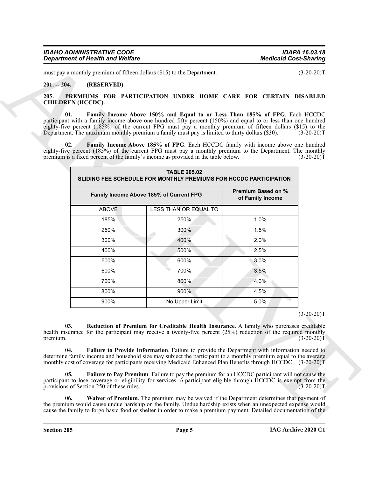| <b>IDAHO ADMINISTRATIVE CODE</b> | <b>IDAPA 16.03.18</b>        |
|----------------------------------|------------------------------|
| Department of Health and Welfare | <b>Medicaid Cost-Sharing</b> |

### <span id="page-4-0"></span>**201. -- 204. (RESERVED)**

#### <span id="page-4-8"></span><span id="page-4-7"></span><span id="page-4-6"></span><span id="page-4-5"></span><span id="page-4-4"></span><span id="page-4-3"></span><span id="page-4-2"></span><span id="page-4-1"></span>**205. PREMIUMS FOR PARTICIPATION UNDER HOME CARE FOR CERTAIN DISABLED CHILDREN (HCCDC).**

|                          |                                           | must pay a monthly premium of fifteen dollars (\$15) to the Department.                                                                                                                                                                                                                                                                                                                                    |                                        | $(3-20-20)T$                 |
|--------------------------|-------------------------------------------|------------------------------------------------------------------------------------------------------------------------------------------------------------------------------------------------------------------------------------------------------------------------------------------------------------------------------------------------------------------------------------------------------------|----------------------------------------|------------------------------|
| $201. - 204.$            | (RESERVED)                                |                                                                                                                                                                                                                                                                                                                                                                                                            |                                        |                              |
| 205.                     |                                           | PREMIUMS FOR PARTICIPATION UNDER HOME CARE FOR CERTAIN DISABLED                                                                                                                                                                                                                                                                                                                                            |                                        |                              |
| <b>CHILDREN</b> (HCCDC). |                                           |                                                                                                                                                                                                                                                                                                                                                                                                            |                                        |                              |
| 01.                      |                                           | Family Income Above 150% and Equal to or Less Than 185% of FPG. Each HCCDC<br>participant with a family income above one hundred fifty percent (150%) and equal to or less than one hundred<br>eighty-five percent (185%) of the current FPG must pay a monthly premium of fifteen dollars (\$15) to the<br>Department. The maximum monthly premium a family must pay is limited to thirty dollars (\$30). |                                        | $(3-20-20)T$                 |
| 02.                      |                                           | Family Income Above 185% of FPG. Each HCCDC family with income above one hundred<br>eighty-five percent $(185%)$ of the current FPG must pay a monthly premium to the Department. The monthly<br>premium is a fixed percent of the family's income as provided in the table below.                                                                                                                         |                                        | $(3-20-20)T$                 |
|                          |                                           | <b>TABLE 205.02</b><br>SLIDING FEE SCHEDULE FOR MONTHLY PREMIUMS FOR HCCDC PARTICIPATION                                                                                                                                                                                                                                                                                                                   |                                        |                              |
|                          |                                           | Family Income Above 185% of Current FPG                                                                                                                                                                                                                                                                                                                                                                    | Premium Based on %<br>of Family Income |                              |
|                          | <b>ABOVE</b>                              | LESS THAN OR EQUAL TO                                                                                                                                                                                                                                                                                                                                                                                      |                                        |                              |
|                          | 185%                                      | 250%                                                                                                                                                                                                                                                                                                                                                                                                       | 1.0%                                   |                              |
|                          | 250%                                      | 300%                                                                                                                                                                                                                                                                                                                                                                                                       | 1.5%                                   |                              |
|                          | 300%                                      | 400%                                                                                                                                                                                                                                                                                                                                                                                                       | 2.0%                                   |                              |
|                          | 400%                                      | 500%                                                                                                                                                                                                                                                                                                                                                                                                       | 2.5%                                   |                              |
|                          | 500%                                      | 600%                                                                                                                                                                                                                                                                                                                                                                                                       | 3.0%                                   |                              |
|                          | 600%                                      | 700%                                                                                                                                                                                                                                                                                                                                                                                                       | 3.5%                                   |                              |
|                          | 700%                                      | 800%                                                                                                                                                                                                                                                                                                                                                                                                       | 4.0%                                   |                              |
|                          | 800%                                      | 900%                                                                                                                                                                                                                                                                                                                                                                                                       | 4.5%                                   |                              |
|                          | 900%                                      | No Upper Limit                                                                                                                                                                                                                                                                                                                                                                                             | 5.0%                                   |                              |
| 03.<br>premium.          |                                           | Reduction of Premium for Creditable Health Insurance. A family who purchases creditable<br>health insurance for the participant may receive a twenty-five percent (25%) reduction of the required monthly                                                                                                                                                                                                  |                                        | $(3-20-20)T$<br>$(3-20-20)T$ |
| 04.                      |                                           | Failure to Provide Information. Failure to provide the Department with information needed to<br>determine family income and household size may subject the participant to a monthly premium equal to the average<br>monthly cost of coverage for participants receiving Medicaid Enhanced Plan Benefits through HCCDC. (3-20-20)T                                                                          |                                        |                              |
| 05.                      | provisions of Section 250 of these rules. | Failure to Pay Premium. Failure to pay the premium for an HCCDC participant will not cause the<br>participant to lose coverage or eligibility for services. A participant eligible through HCCDC is exempt from the                                                                                                                                                                                        |                                        | $(3-20-20)T$                 |
| 06.                      |                                           | Waiver of Premium. The premium may be waived if the Department determines that payment of<br>the premium would cause undue hardship on the family. Undue hardship exists when an unexpected expense would                                                                                                                                                                                                  |                                        |                              |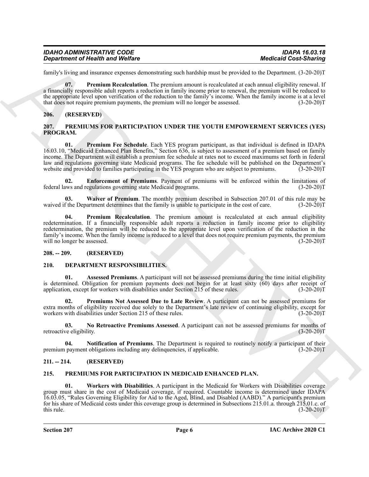| <b>IDAHO ADMINISTRATIVE CODE</b> | <b>IDAPA 16.03.18</b>        |
|----------------------------------|------------------------------|
| Department of Health and Welfare | <b>Medicaid Cost-Sharing</b> |

family's living and insurance expenses demonstrating such hardship must be provided to the Department. (3-20-20)T

<span id="page-5-13"></span>**07. Premium Recalculation**. The premium amount is recalculated at each annual eligibility renewal. If a financially responsible adult reports a reduction in family income prior to renewal, the premium will be reduced to the appropriate level upon verification of the reduction to the family's income. When the family income is at a level that does not require premium payments, the premium will no longer be assessed. (3-20-20)T

#### <span id="page-5-0"></span>**206. (RESERVED)**

#### <span id="page-5-14"></span><span id="page-5-1"></span>**207. PREMIUMS FOR PARTICIPATION UNDER THE YOUTH EMPOWERMENT SERVICES (YES) PROGRAM.**

<span id="page-5-16"></span>**01. Premium Fee Schedule**. Each YES program participant, as that individual is defined in IDAPA 16.03.10, "Medicaid Enhanced Plan Benefits," Section 636, is subject to assessment of a premium based on family income. The Department will establish a premium fee schedule at rates not to exceed maximums set forth in federal law and regulations governing state Medicaid programs. The fee schedule will be published on the Department's website and provided to families participating in the YES program who are subject to premiums. (3-20-20)T website and provided to families participating in the YES program who are subject to premiums.

<span id="page-5-15"></span>**02. Enforcement of Premiums**. Payment of premiums will be enforced within the limitations of federal laws and regulations governing state Medicaid programs. (3-20-20)T

<span id="page-5-18"></span>**03.** Waiver of Premium. The monthly premium described in Subsection 207.01 of this rule may be f the Department determines that the family is unable to participate in the cost of care. (3-20-20)T waived if the Department determines that the family is unable to participate in the cost of care.

<span id="page-5-17"></span>**04. Premium Recalculation**. The premium amount is recalculated at each annual eligibility redetermination. If a financially responsible adult reports a reduction in family income prior to eligibility redetermination, the premium will be reduced to the appropriate level upon verification of the reduction in the family's income. When the family income is reduced to a level that does not require premium payments, the premium will no longer be assessed. (3-20-20)T

#### <span id="page-5-2"></span>**208. -- 209. (RESERVED)**

#### <span id="page-5-6"></span><span id="page-5-3"></span>**210. DEPARTMENT RESPONSIBILITIES.**

<span id="page-5-7"></span>**01. Assessed Premiums**. A participant will not be assessed premiums during the time initial eligibility is determined. Obligation for premium payments does not begin for at least sixty  $(60)$  days after receipt of application, except for workers with disabilities under Section 215 of these rules.  $(3-20-20)$ application, except for workers with disabilities under Section  $215$  of these rules.

<span id="page-5-10"></span>**Premiums Not Assessed Due to Late Review**. A participant can not be assessed premiums for extra months of eligibility received due solely to the Department's late review of continuing eligibility, except for workers with disabilities under Section 215 of these rules. (3-20-20)T

<span id="page-5-8"></span>**03.** No Retroactive Premiums Assessed. A participant can not be assessed premiums for months of ve eligibility. (3-20-20) retroactive eligibility.

<span id="page-5-9"></span>**04. Notification of Premiums**. The Department is required to routinely notify a participant of their premium payment obligations including any delinquencies, if applicable. (3-20-20)T

#### <span id="page-5-4"></span>**211. -- 214. (RESERVED)**

#### <span id="page-5-12"></span><span id="page-5-11"></span><span id="page-5-5"></span>**215. PREMIUMS FOR PARTICIPATION IN MEDICAID ENHANCED PLAN.**

**Department of Health was Wedley<br>
Lend, the stress of the stress of the stress of the stress of the stress of the stress of the stress of the stress of the stress of the stress of the stress of the stress of the stress of 01. Workers with Disabilities**. A participant in the Medicaid for Workers with Disabilities coverage group must share in the cost of Medicaid coverage, if required. Countable income is determined under IDAPA 16.03.05, "Rules Governing Eligibility for Aid to the Aged, Blind, and Disabled (AABD)." A participant's premium for his share of Medicaid costs under this coverage group is determined in Subsections 215.01.a. through 215.01.c. of this rule.  $(3-20-20)T$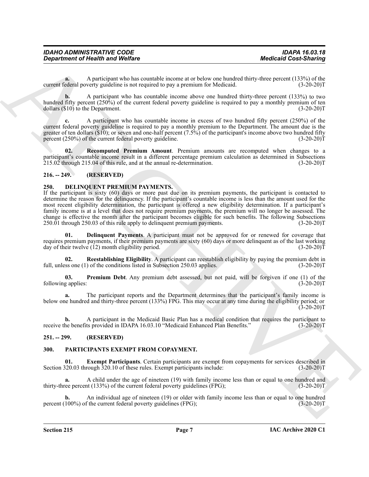| <b>IDAHO ADMINISTRATIVE CODE</b> | <b>IDAPA 16.03.18</b>        |
|----------------------------------|------------------------------|
| Department of Health and Welfare | <b>Medicaid Cost-Sharing</b> |

**a.** A participant who has countable income at or below one hundred thirty-three percent (133%) of the current federal poverty guideline is not required to pay a premium for Medicaid.

**b.** A participant who has countable income above one hundred thirty-three percent (133%) to two hundred fifty percent (250%) of the current federal poverty guideline is required to pay a monthly premium of ten dollars (\$10) to the Department. (3-20-20) dollars  $(\$10)$  to the Department.

**c.** A participant who has countable income in excess of two hundred fifty percent (250%) of the current federal poverty guideline is required to pay a monthly premium to the Department. The amount due is the greater of ten dollars (\$10); or seven and one-half percent (7.5%) of the participant's income above two hundred fifty percent (250%) of the current federal poverty guideline. (3-20-20)T

<span id="page-6-10"></span>**Recomputed Premium Amount.** Premium amounts are recomputed when changes to a participant's countable income result in a different percentage premium calculation as determined in Subsections  $215.02$  through 215.04 of this rule, and at the annual re-determination.  $(3-20-20)T$ 

#### <span id="page-6-0"></span>**216. -- 249. (RESERVED)**

#### <span id="page-6-4"></span><span id="page-6-1"></span>**250. DELINQUENT PREMIUM PAYMENTS.**

**Department of Health and Wolfare**<br>
Consultation of Newtonia Consultation and the space of the space of the space of the space of 1320-1331<br>
consultation by the Space of the space of the space of the space of the space of If the participant is sixty (60) days or more past due on its premium payments, the participant is contacted to determine the reason for the delinquency. If the participant's countable income is less than the amount used for the most recent eligibility determination, the participant is offered a new eligibility determination. If a participant's family income is at a level that does not require premium payments, the premium will no longer be assessed. The change is effective the month after the participant becomes eligible for such benefits. The following Subsections 250.01 through 250.03 of this rule apply to delinguent premium payments. (3-20-20)  $250.01$  through  $250.03$  of this rule apply to delinquent premium payments.

<span id="page-6-5"></span>**01. Delinquent Payments**. A participant must not be approved for or renewed for coverage that requires premium payments, if their premium payments are sixty (60) days or more delinquent as of the last working day of their twelve (12) month eligibility period. (3-20-20)T

<span id="page-6-7"></span>**02. Reestablishing Eligibility**. A participant can reestablish eligibility by paying the premium debt in full, unless one (1) of the conditions listed in Subsection 250.03 applies. (3-20-20)T

<span id="page-6-6"></span>**03. Premium Debt**. Any premium debt assessed, but not paid, will be forgiven if one (1) of the following applies: (3-20-20)T

**a.** The participant reports and the Department determines that the participant's family income is below one hundred and thirty-three percent (133%) FPG. This may occur at any time during the eligibility period; or  $(3-20-20)T$ 

**b.** A participant in the Medicaid Basic Plan has a medical condition that requires the participant to receive the benefits provided in IDAPA 16.03.10 "Medicaid Enhanced Plan Benefits." (3-20-20)T

#### <span id="page-6-2"></span>**251. -- 299. (RESERVED)**

#### <span id="page-6-8"></span><span id="page-6-3"></span>**300. PARTICIPANTS EXEMPT FROM COPAYMENT.**

<span id="page-6-9"></span>**01. Exempt Participants**. Certain participants are exempt from copayments for services described in  $\frac{120.03 \text{ through } 320.10 \text{ of these rules.}$  Exempt participants include:  $(3-20-20)$ Section 320.03 through 320.10 of these rules. Exempt participants include:

**a.** A child under the age of nineteen (19) with family income less than or equal to one hundred and thirty-three percent (133%) of the current federal poverty guidelines (FPG); (3-20-20)T

**b.** An individual age of nineteen (19) or older with family income less than or equal to one hundred 100%) of the current federal poverty guidelines (FPG); (3-20-20) percent  $(100\%)$  of the current federal poverty guidelines (FPG);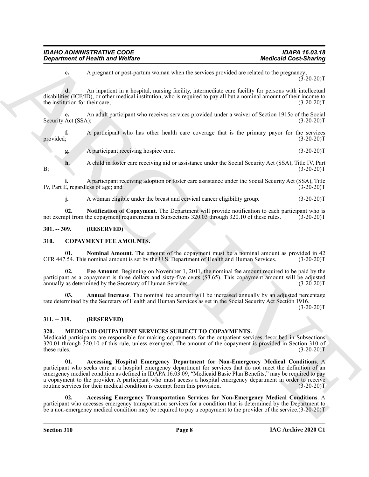| IDAHO ADMINISTRATIVE CODE               | IDAPA 16.03.18               |
|-----------------------------------------|------------------------------|
| <b>Department of Health and Welfare</b> | <b>Medicaid Cost-Sharing</b> |

**c.** A pregnant or post-partum woman when the services provided are related to the pregnancy  $(3-20-20)$ T

**d.** An inpatient in a hospital, nursing facility, intermediate care facility for persons with intellectual disabilities (ICF/ID), or other medical institution, who is required to pay all but a nominal amount of their income to the institution for their care; (3-20-20)T

**e.** An adult participant who receives services provided under a waiver of Section 1915c of the Social Security Act (SSA); (3-20-20)T

**f.** A participant who has other health care coverage that is the primary payor for the services provided; (3-20-20)T

**g.** A participant receiving hospice care; (3-20-20)T

**h.** A child in foster care receiving aid or assistance under the Social Security Act (SSA), Title IV, Part (3-20-20)  $B$ ; (3-20-20)T

**i.** A participant receiving adoption or foster care assistance under the Social Security Act (SSA), Title IV, Part E, regardless of age; and (3-20-20)T

<span id="page-7-11"></span>**j.** A woman eligible under the breast and cervical cancer eligibility group. (3-20-20)T

**02. Notification of Copayment**. The Department will provide notification to each participant who is not exempt from the copayment requirements in Subsections 320.03 through 320.10 of these rules. (3-20-20)T

#### <span id="page-7-0"></span>**301. -- 309. (RESERVED)**

#### <span id="page-7-4"></span><span id="page-7-1"></span>**310. COPAYMENT FEE AMOUNTS.**

<span id="page-7-7"></span>**01. Nominal Amount**. The amount of the copayment must be a nominal amount as provided in 42 CFR 447.54. This nominal amount is set by the U.S. Department of Health and Human Services. (3-20-20)T

<span id="page-7-6"></span>**02. Fee Amount**. Beginning on November 1, 2011, the nominal fee amount required to be paid by the participant as a copayment is three dollars and sixty-five cents (\$3.65). This copayment amount will be adjusted annually as determined by the Secretary of Human Services. (3-20-20)T

<span id="page-7-5"></span>**03.** Annual Increase. The nominal fee amount will be increased annually by an adjusted percentage rate determined by the Secretary of Health and Human Services as set in the Social Security Act Section 1916.

 $(3-20-20)T$ 

#### <span id="page-7-2"></span>**311. -- 319. (RESERVED)**

#### <span id="page-7-8"></span><span id="page-7-3"></span>**320. MEDICAID OUTPATIENT SERVICES SUBJECT TO COPAYMENTS.**

<span id="page-7-10"></span>Medicaid participants are responsible for making copayments for the outpatient services described in Subsections 320.01 through 320.10 of this rule, unless exempted. The amount of the copayment is provided in Section 310 of these rules. (3-20-20)T

**Department of Nearly was Wedler<br>
A magnetic in Poster and Constituting the services provided according to the posterior of the Services of the Services of the Services of the Services of the Services of the Services of t 01. Accessing Hospital Emergency Department for Non-Emergency Medical Conditions**. A participant who seeks care at a hospital emergency department for services that do not meet the definition of an emergency medical condition as defined in IDAPA 16.03.09, "Medicaid Basic Plan Benefits," may be required to pay a copayment to the provider. A participant who must access a hospital emergency department in order to receive routine services for their medical condition is exempt from this provision. (3-20-20)T

<span id="page-7-9"></span>**02. Accessing Emergency Transportation Services for Non-Emergency Medical Conditions**. A participant who accesses emergency transportation services for a condition that is determined by the Department to be a non-emergency medical condition may be required to pay a copayment to the provider of the service.(3-20-20)T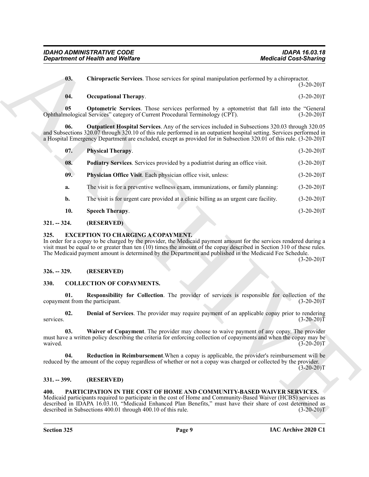#### <span id="page-8-18"></span><span id="page-8-16"></span><span id="page-8-15"></span><span id="page-8-14"></span><span id="page-8-13"></span><span id="page-8-12"></span>**04. Occupational Therapy**. (3-20-20)T

|                       | <b>Department of Health and Welfare</b>                                                                                                                                                                                                                                                                                                                                                                              | <b>Medicaid Cost-Sharing</b> |  |
|-----------------------|----------------------------------------------------------------------------------------------------------------------------------------------------------------------------------------------------------------------------------------------------------------------------------------------------------------------------------------------------------------------------------------------------------------------|------------------------------|--|
| 03.                   | <b>Chiropractic Services</b> . Those services for spinal manipulation performed by a chiropractor.                                                                                                                                                                                                                                                                                                                   | $(3-20-20)T$                 |  |
| 04.                   | <b>Occupational Therapy.</b>                                                                                                                                                                                                                                                                                                                                                                                         | $(3-20-20)T$                 |  |
| 05                    | <b>Optometric Services</b> . Those services performed by a optometrist that fall into the "General<br>Ophthalmological Services" category of Current Procedural Terminology (CPT).                                                                                                                                                                                                                                   | $(3-20-20)T$                 |  |
| 06.                   | Outpatient Hospital Services. Any of the services included in Subsections 320.03 through 320.05<br>and Subsections 320.07 through 320.10 of this rule performed in an outpatient hospital setting. Services performed in<br>a Hospital Emergency Department are excluded, except as provided for in Subsection 320.01 of this rule. (3-20-20)T                                                                       |                              |  |
| 07.                   | Physical Therapy.                                                                                                                                                                                                                                                                                                                                                                                                    | $(3-20-20)T$                 |  |
| 08.                   | Podiatry Services. Services provided by a podiatrist during an office visit.                                                                                                                                                                                                                                                                                                                                         | $(3-20-20)T$                 |  |
| 09.                   | Physician Office Visit. Each physician office visit, unless:                                                                                                                                                                                                                                                                                                                                                         | $(3-20-20)T$                 |  |
| a.                    | The visit is for a preventive wellness exam, immunizations, or family planning:                                                                                                                                                                                                                                                                                                                                      | $(3-20-20)T$                 |  |
| b.                    | The visit is for urgent care provided at a clinic billing as an urgent care facility.                                                                                                                                                                                                                                                                                                                                | $(3-20-20)T$                 |  |
| 10.                   | <b>Speech Therapy.</b>                                                                                                                                                                                                                                                                                                                                                                                               | $(3-20-20)T$                 |  |
| $321. - 324.$         | (RESERVED)                                                                                                                                                                                                                                                                                                                                                                                                           |                              |  |
| 325.<br>$326. - 329.$ | <b>EXCEPTION TO CHARGING A COPAYMENT.</b><br>In order for a copay to be charged by the provider, the Medicaid payment amount for the services rendered during a<br>visit must be equal to or greater than ten $(10)$ times the amount of the copay described in Section 310 of these rules.<br>The Medicaid payment amount is determined by the Department and published in the Medicaid Fee Schedule.<br>(RESERVED) | $(3-20-20)T$                 |  |
| 330.                  | <b>COLLECTION OF COPAYMENTS.</b>                                                                                                                                                                                                                                                                                                                                                                                     |                              |  |
|                       |                                                                                                                                                                                                                                                                                                                                                                                                                      |                              |  |
| 01.                   | Responsibility for Collection. The provider of services is responsible for collection of the<br>copayment from the participant.                                                                                                                                                                                                                                                                                      | $(3-20-20)T$                 |  |
| 02.<br>services.      | <b>Denial of Services</b> . The provider may require payment of an applicable copay prior to rendering                                                                                                                                                                                                                                                                                                               | $(3-20-20)T$                 |  |
| 03.<br>waived.        | Waiver of Copayment. The provider may choose to waive payment of any copay. The provider<br>must have a written policy describing the criteria for enforcing collection of copayments and when the copay may be                                                                                                                                                                                                      | $(3-20-20)T$                 |  |
| 04.                   | Reduction in Reimbursement. When a copay is applicable, the provider's reimbursement will be<br>reduced by the amount of the copay regardless of whether or not a copay was charged or collected by the provider.                                                                                                                                                                                                    | $(3-20-20)T$                 |  |
| $331. - 399.$         | (RESERVED)                                                                                                                                                                                                                                                                                                                                                                                                           |                              |  |
|                       |                                                                                                                                                                                                                                                                                                                                                                                                                      |                              |  |

#### <span id="page-8-19"></span><span id="page-8-17"></span><span id="page-8-0"></span>**321. -- 324. (RESERVED)**

#### <span id="page-8-11"></span><span id="page-8-1"></span>**325. EXCEPTION TO CHARGING A COPAYMENT.**

#### <span id="page-8-2"></span>**326. -- 329. (RESERVED)**

#### <span id="page-8-10"></span><span id="page-8-9"></span><span id="page-8-7"></span><span id="page-8-6"></span><span id="page-8-3"></span>**330. COLLECTION OF COPAYMENTS.**

#### <span id="page-8-8"></span><span id="page-8-4"></span>**331. -- 399. (RESERVED)**

#### <span id="page-8-20"></span><span id="page-8-5"></span>**400. PARTICIPATION IN THE COST OF HOME AND COMMUNITY-BASED WAIVER SERVICES.**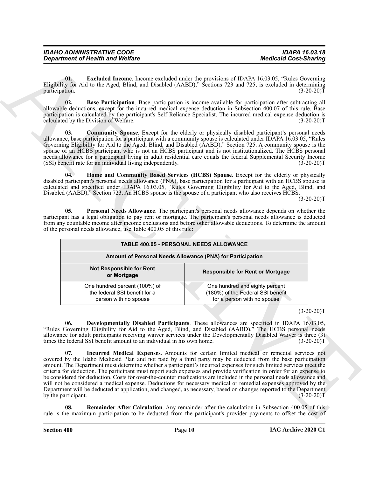<span id="page-9-6"></span><span id="page-9-4"></span><span id="page-9-3"></span><span id="page-9-1"></span><span id="page-9-0"></span>

| <b>IDAHO ADMINISTRATIVE CODE</b> | <b>IDAPA 16.03.18</b>        |
|----------------------------------|------------------------------|
| Department of Health and Welfare | <b>Medicaid Cost-Sharing</b> |

|                                                                                                             | <b>Medicaid Cost-Sharing</b>                                                                                                                                                                                                                                                                                                                                                                                                                                                                                                                                                                                                                                                                                                                                                                                                            |
|-------------------------------------------------------------------------------------------------------------|-----------------------------------------------------------------------------------------------------------------------------------------------------------------------------------------------------------------------------------------------------------------------------------------------------------------------------------------------------------------------------------------------------------------------------------------------------------------------------------------------------------------------------------------------------------------------------------------------------------------------------------------------------------------------------------------------------------------------------------------------------------------------------------------------------------------------------------------|
| 01.<br>participation.                                                                                       | <b>Excluded Income</b> . Income excluded under the provisions of IDAPA 16.03.05, "Rules Governing<br>Eligibility for Aid to the Aged, Blind, and Disabled (AABD)," Sections 723 and 725, is excluded in determining<br>$(3-20-20)T$                                                                                                                                                                                                                                                                                                                                                                                                                                                                                                                                                                                                     |
| 02.<br>calculated by the Division of Welfare.                                                               | Base Participation. Base participation is income available for participation after subtracting all<br>allowable deductions, except for the incurred medical expense deduction in Subsection 400.07 of this rule. Base<br>participation is calculated by the participant's Self Reliance Specialist. The incurred medical expense deduction is<br>$(3-20-20)T$                                                                                                                                                                                                                                                                                                                                                                                                                                                                           |
| 03.<br>(SSI) benefit rate for an individual living independently.                                           | <b>Community Spouse.</b> Except for the elderly or physically disabled participant's personal needs<br>allowance, base participation for a participant with a community spouse is calculated under IDAPA 16.03.05, "Rules<br>Governing Eligibility for Aid to the Aged, Blind, and Disabled (AABD)," Section 725. A community spouse is the<br>spouse of an HCBS participant who is not an HCBS participant and is not institutionalized. The HCBS personal<br>needs allowance for a participant living in adult residential care equals the federal Supplemental Security Income<br>$(3-20-20)T$                                                                                                                                                                                                                                       |
| 04.<br>Disabled (AABD)," Section 723. An HCBS spouse is the spouse of a participant who also receives HCBS. | Home and Community Based Services (HCBS) Spouse. Except for the elderly or physically<br>disabled participant's personal needs allowance (PNA), base participation for a participant with an HCBS spouse is<br>calculated and specified under IDAPA 16.03.05, "Rules Governing Eligibility for Aid to the Aged, Blind, and                                                                                                                                                                                                                                                                                                                                                                                                                                                                                                              |
|                                                                                                             | $(3-20-20)T$                                                                                                                                                                                                                                                                                                                                                                                                                                                                                                                                                                                                                                                                                                                                                                                                                            |
| of the personal needs allowance, use Table 400.05 of this rule:                                             | from any countable income after income exclusions and before other allowable deductions. To determine the amount<br>TABLE 400.05 - PERSONAL NEEDS ALLOWANCE                                                                                                                                                                                                                                                                                                                                                                                                                                                                                                                                                                                                                                                                             |
|                                                                                                             | Amount of Personal Needs Allowance (PNA) for Participation                                                                                                                                                                                                                                                                                                                                                                                                                                                                                                                                                                                                                                                                                                                                                                              |
| <b>Not Responsible for Rent</b><br>or Mortgage                                                              | <b>Responsible for Rent or Mortgage</b>                                                                                                                                                                                                                                                                                                                                                                                                                                                                                                                                                                                                                                                                                                                                                                                                 |
| One hundred percent (100%) of                                                                               | One hundred and eighty percent<br>(180%) of the Federal SSI benefit                                                                                                                                                                                                                                                                                                                                                                                                                                                                                                                                                                                                                                                                                                                                                                     |
| the federal SSI benefit for a                                                                               |                                                                                                                                                                                                                                                                                                                                                                                                                                                                                                                                                                                                                                                                                                                                                                                                                                         |
| person with no spouse                                                                                       | for a person with no spouse<br>$(3-20-20)T$                                                                                                                                                                                                                                                                                                                                                                                                                                                                                                                                                                                                                                                                                                                                                                                             |
| 06.<br>times the federal SSI benefit amount to an individual in his own home.                               | Developmentally Disabled Participants. These allowances are specified in IDAPA 16.03.05.<br>"Rules Governing Eligibility for Aid to the Aged, Blind, and Disabled (AABD)." The HCBS personal needs<br>allowance for adult participants receiving waiver services under the Developmentally Disabled Waiver is three (3)<br>$(3-20-20)T$                                                                                                                                                                                                                                                                                                                                                                                                                                                                                                 |
| 07.<br>by the participant.                                                                                  | Incurred Medical Expenses. Amounts for certain limited medical or remedial services not<br>covered by the Idaho Medicaid Plan and not paid by a third party may be deducted from the base participation<br>amount. The Department must determine whether a participant's incurred expenses for such limited services meet the<br>criteria for deduction. The participant must report such expenses and provide verification in order for an expense to<br>be considered for deduction. Costs for over-the-counter medications are included in the personal needs allowance and<br>will not be considered a medical expense. Deductions for necessary medical or remedial expenses approved by the<br>Department will be deducted at application, and changed, as necessary, based on changes reported to the Department<br>$(3-20-20)T$ |

#### <span id="page-9-8"></span><span id="page-9-7"></span><span id="page-9-5"></span><span id="page-9-2"></span> $(3-20-20)T$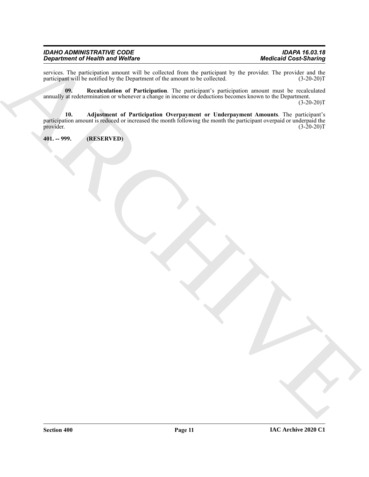#### **IDAHO ADMINISTRATIVE CODE** *Department of Health and Welfare Medicaid Cost-Sharing*

|                              | IDAPA 16.03.18 |
|------------------------------|----------------|
| <b>Medicaid Cost-Sharing</b> |                |

services. The participation amount will be collected from the participant by the provider. The provider and the participant will be notified by the Department of the amount to be collected. (3-20-20)T participant will be notified by the Department of the amount to be collected.

<span id="page-10-2"></span><span id="page-10-1"></span>**09. Recalculation of Participation**. The participant's participation amount must be recalculated annually at redetermination or whenever a change in income or deductions becomes known to the Department.

 $(3-20-20)T$ 

 $\frac{Rr_0 + r_1}{r_0}$  and  $\frac{Rr_0 + r_1}{r_0}$  and  $\frac{Rr_0 + r_1}{r_0}$  and  $\frac{Rr_0 + r_1}{r_0}$  and  $\frac{Rr_0 + r_1}{r_0}$  and  $\frac{Rr_0 + r_1}{r_0}$  and  $\frac{Rr_0 + r_1}{r_0}$  and  $\frac{Rr_0 + r_1}{r_0}$  and  $\frac{Rr_0 + r_1}{r_0}$  and  $\frac{Rr_0 + r_1}{r$ **10. Adjustment of Participation Overpayment or Underpayment Amounts**. The participant's participation amount is reduced or increased the month following the month the participant overpaid or underpaid the provider. (3-20-20)T provider.  $(3-20-20)T$ 

<span id="page-10-0"></span>**401. -- 999. (RESERVED)**